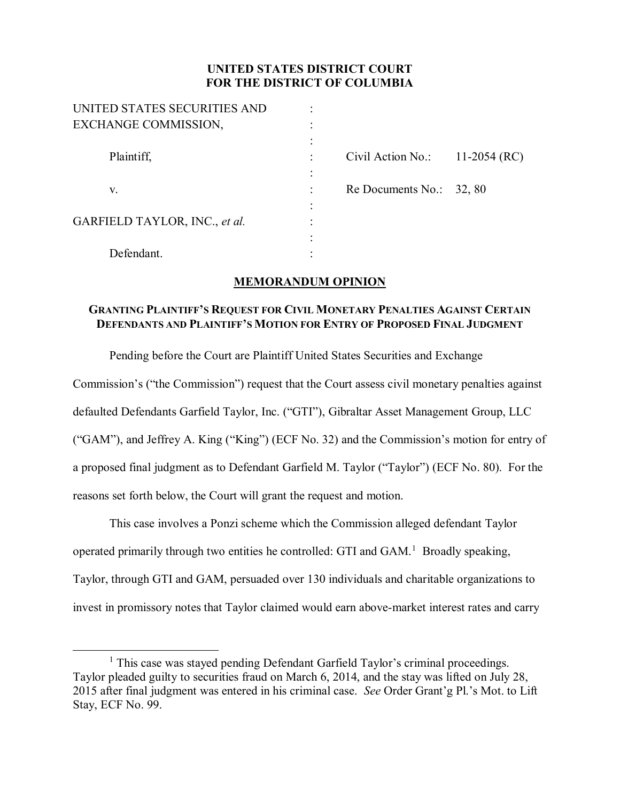## **UNITED STATES DISTRICT COURT FOR THE DISTRICT OF COLUMBIA**

| UNITED STATES SECURITIES AND  |                            |              |
|-------------------------------|----------------------------|--------------|
| EXCHANGE COMMISSION,          |                            |              |
|                               |                            |              |
| Plaintiff.                    | Civil Action No.:          | 11-2054 (RC) |
|                               |                            |              |
| V.                            | Re Documents No.: $32, 80$ |              |
|                               |                            |              |
| GARFIELD TAYLOR, INC., et al. |                            |              |
|                               |                            |              |
| Defendant.                    |                            |              |

## **MEMORANDUM OPINION**

## **GRANTING PLAINTIFF'S REQUEST FOR CIVIL MONETARY PENALTIES AGAINST CERTAIN DEFENDANTS AND PLAINTIFF'S MOTION FOR ENTRY OF PROPOSED FINAL JUDGMENT**

Pending before the Court are Plaintiff United States Securities and Exchange

Commission's ("the Commission") request that the Court assess civil monetary penalties against

defaulted Defendants Garfield Taylor, Inc. ("GTI"), Gibraltar Asset Management Group, LLC

("GAM"), and Jeffrey A. King ("King") (ECF No. 32) and the Commission's motion for entry of a proposed final judgment as to Defendant Garfield M. Taylor ("Taylor") (ECF No. 80). For the

reasons set forth below, the Court will grant the request and motion.

This case involves a Ponzi scheme which the Commission alleged defendant Taylor operated primarily through two entities he controlled: GTI and  $GAM$ <sup>1</sup> Broadly speaking, Taylor, through GTI and GAM, persuaded over 130 individuals and charitable organizations to invest in promissory notes that Taylor claimed would earn above-market interest rates and carry

<sup>&</sup>lt;sup>1</sup> This case was stayed pending Defendant Garfield Taylor's criminal proceedings. Taylor pleaded guilty to securities fraud on March 6, 2014, and the stay was lifted on July 28, 2015 after final judgment was entered in his criminal case. *See* Order Grant'g Pl.'s Mot. to Lift Stay, ECF No. 99.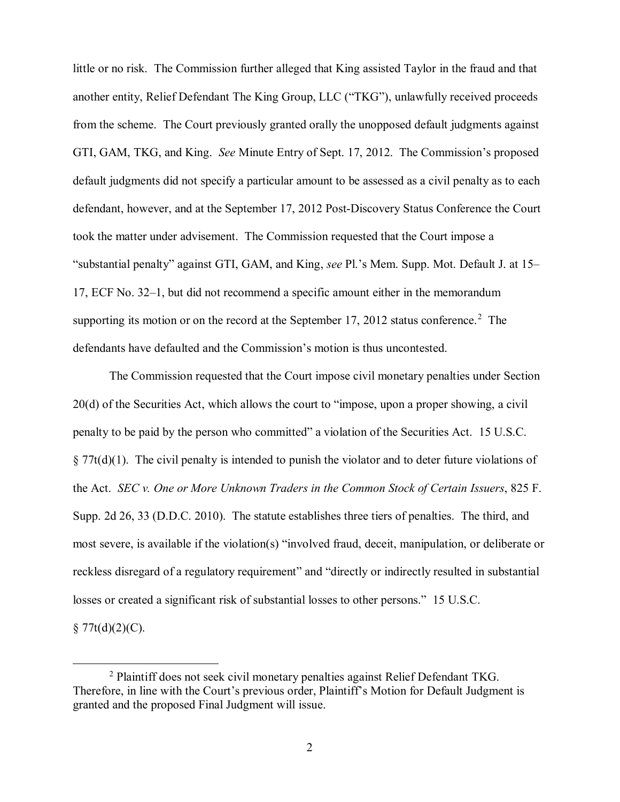little or no risk. The Commission further alleged that King assisted Taylor in the fraud and that another entity, Relief Defendant The King Group, LLC ("TKG"), unlawfully received proceeds from the scheme. The Court previously granted orally the unopposed default judgments against GTI, GAM, TKG, and King. *See* Minute Entry of Sept. 17, 2012. The Commission's proposed default judgments did not specify a particular amount to be assessed as a civil penalty as to each defendant, however, and at the September 17, 2012 Post-Discovery Status Conference the Court took the matter under advisement. The Commission requested that the Court impose a "substantial penalty" against GTI, GAM, and King, *see* Pl.'s Mem. Supp. Mot. Default J. at 15– 17, ECF No. 32–1, but did not recommend a specific amount either in the memorandum supporting its motion or on the record at the September 17, 2012 status conference.<sup>2</sup> The defendants have defaulted and the Commission's motion is thus uncontested.

The Commission requested that the Court impose civil monetary penalties under Section 20(d) of the Securities Act, which allows the court to "impose, upon a proper showing, a civil penalty to be paid by the person who committed" a violation of the Securities Act. 15 U.S.C. § 77t(d)(1). The civil penalty is intended to punish the violator and to deter future violations of the Act. *SEC v. One or More Unknown Traders in the Common Stock of Certain Issuers*, 825 F. Supp. 2d 26, 33 (D.D.C. 2010). The statute establishes three tiers of penalties. The third, and most severe, is available if the violation(s) "involved fraud, deceit, manipulation, or deliberate or reckless disregard of a regulatory requirement" and "directly or indirectly resulted in substantial losses or created a significant risk of substantial losses to other persons." 15 U.S.C.  $§ 77t(d)(2)(C).$ 

<sup>&</sup>lt;sup>2</sup> Plaintiff does not seek civil monetary penalties against Relief Defendant TKG. Therefore, in line with the Court's previous order, Plaintiff's Motion for Default Judgment is granted and the proposed Final Judgment will issue.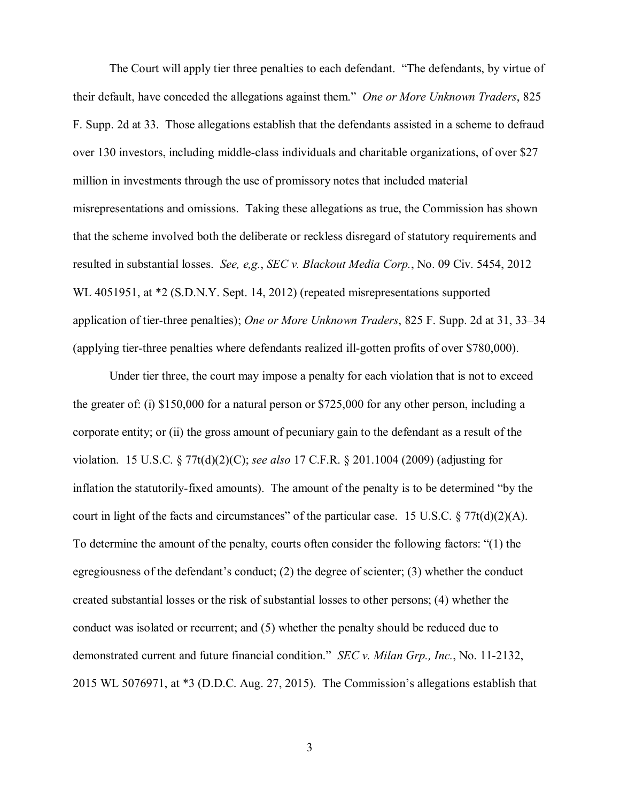The Court will apply tier three penalties to each defendant. "The defendants, by virtue of their default, have conceded the allegations against them." *One or More Unknown Traders*, 825 F. Supp. 2d at 33. Those allegations establish that the defendants assisted in a scheme to defraud over 130 investors, including middle-class individuals and charitable organizations, of over \$27 million in investments through the use of promissory notes that included material misrepresentations and omissions. Taking these allegations as true, the Commission has shown that the scheme involved both the deliberate or reckless disregard of statutory requirements and resulted in substantial losses. *See, e,g.*, *SEC v. Blackout Media Corp.*, No. 09 Civ. 5454, 2012 WL 4051951, at \*2 (S.D.N.Y. Sept. 14, 2012) (repeated misrepresentations supported application of tier-three penalties); *One or More Unknown Traders*, 825 F. Supp. 2d at 31, 33–34 (applying tier-three penalties where defendants realized ill-gotten profits of over \$780,000).

Under tier three, the court may impose a penalty for each violation that is not to exceed the greater of: (i) \$150,000 for a natural person or \$725,000 for any other person, including a corporate entity; or (ii) the gross amount of pecuniary gain to the defendant as a result of the violation. 15 U.S.C. § 77t(d)(2)(C); *see also* 17 C.F.R. § 201.1004 (2009) (adjusting for inflation the statutorily-fixed amounts). The amount of the penalty is to be determined "by the court in light of the facts and circumstances" of the particular case. 15 U.S.C. § 77t(d)(2)(A). To determine the amount of the penalty, courts often consider the following factors: "(1) the egregiousness of the defendant's conduct; (2) the degree of scienter; (3) whether the conduct created substantial losses or the risk of substantial losses to other persons; (4) whether the conduct was isolated or recurrent; and (5) whether the penalty should be reduced due to demonstrated current and future financial condition." *SEC v. Milan Grp., Inc.*, No. 11-2132, 2015 WL 5076971, at \*3 (D.D.C. Aug. 27, 2015). The Commission's allegations establish that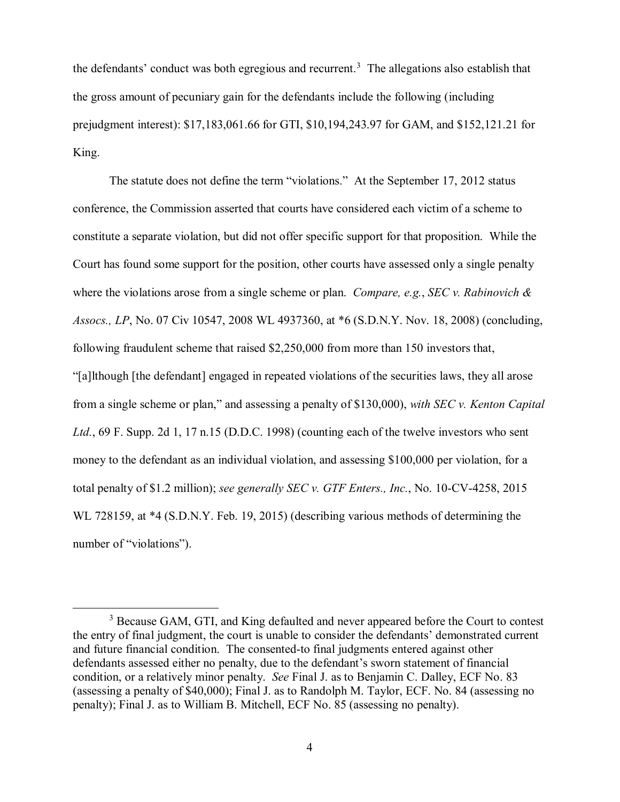the defendants' conduct was both egregious and recurrent.<sup>3</sup> The allegations also establish that the gross amount of pecuniary gain for the defendants include the following (including prejudgment interest): \$17,183,061.66 for GTI, \$10,194,243.97 for GAM, and \$152,121.21 for King.

The statute does not define the term "violations." At the September 17, 2012 status conference, the Commission asserted that courts have considered each victim of a scheme to constitute a separate violation, but did not offer specific support for that proposition. While the Court has found some support for the position, other courts have assessed only a single penalty where the violations arose from a single scheme or plan. *Compare, e.g.*, *SEC v. Rabinovich & Assocs., LP*, No. 07 Civ 10547, 2008 WL 4937360, at \*6 (S.D.N.Y. Nov. 18, 2008) (concluding, following fraudulent scheme that raised \$2,250,000 from more than 150 investors that, "[a]lthough [the defendant] engaged in repeated violations of the securities laws, they all arose from a single scheme or plan," and assessing a penalty of \$130,000), *with SEC v. Kenton Capital Ltd.*, 69 F. Supp. 2d 1, 17 n.15 (D.D.C. 1998) (counting each of the twelve investors who sent money to the defendant as an individual violation, and assessing \$100,000 per violation, for a total penalty of \$1.2 million); *see generally SEC v. GTF Enters., Inc.*, No. 10-CV-4258, 2015 WL 728159, at \*4 (S.D.N.Y. Feb. 19, 2015) (describing various methods of determining the number of "violations").

<sup>&</sup>lt;sup>3</sup> Because GAM, GTI, and King defaulted and never appeared before the Court to contest the entry of final judgment, the court is unable to consider the defendants' demonstrated current and future financial condition. The consented-to final judgments entered against other defendants assessed either no penalty, due to the defendant's sworn statement of financial condition, or a relatively minor penalty. *See* Final J. as to Benjamin C. Dalley, ECF No. 83 (assessing a penalty of \$40,000); Final J. as to Randolph M. Taylor, ECF. No. 84 (assessing no penalty); Final J. as to William B. Mitchell, ECF No. 85 (assessing no penalty).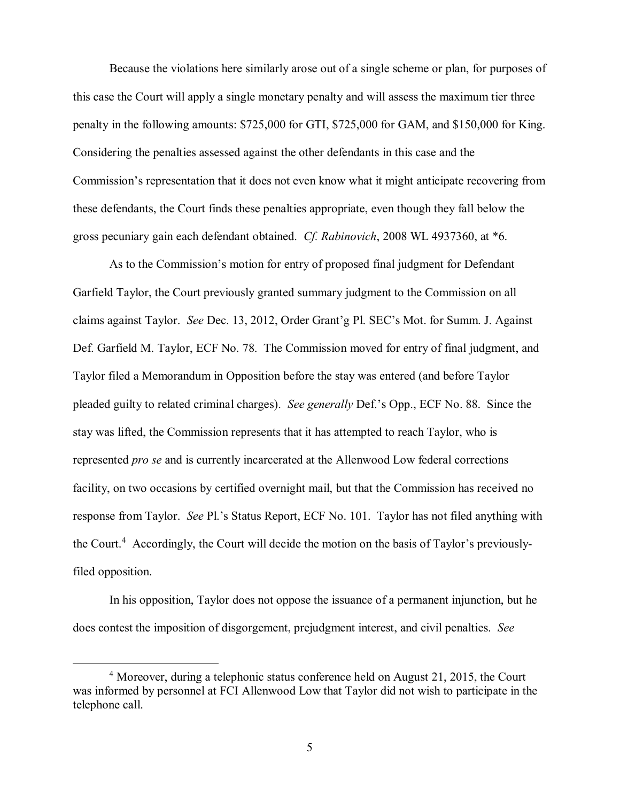Because the violations here similarly arose out of a single scheme or plan, for purposes of this case the Court will apply a single monetary penalty and will assess the maximum tier three penalty in the following amounts: \$725,000 for GTI, \$725,000 for GAM, and \$150,000 for King. Considering the penalties assessed against the other defendants in this case and the Commission's representation that it does not even know what it might anticipate recovering from these defendants, the Court finds these penalties appropriate, even though they fall below the gross pecuniary gain each defendant obtained. *Cf. Rabinovich*, 2008 WL 4937360, at \*6.

As to the Commission's motion for entry of proposed final judgment for Defendant Garfield Taylor, the Court previously granted summary judgment to the Commission on all claims against Taylor. *See* Dec. 13, 2012, Order Grant'g Pl. SEC's Mot. for Summ. J. Against Def. Garfield M. Taylor, ECF No. 78. The Commission moved for entry of final judgment, and Taylor filed a Memorandum in Opposition before the stay was entered (and before Taylor pleaded guilty to related criminal charges). *See generally* Def.'s Opp., ECF No. 88. Since the stay was lifted, the Commission represents that it has attempted to reach Taylor, who is represented *pro se* and is currently incarcerated at the Allenwood Low federal corrections facility, on two occasions by certified overnight mail, but that the Commission has received no response from Taylor. *See* Pl.'s Status Report, ECF No. 101. Taylor has not filed anything with the Court. 4 Accordingly, the Court will decide the motion on the basis of Taylor's previouslyfiled opposition.

In his opposition, Taylor does not oppose the issuance of a permanent injunction, but he does contest the imposition of disgorgement, prejudgment interest, and civil penalties. *See*

<sup>&</sup>lt;sup>4</sup> Moreover, during a telephonic status conference held on August 21, 2015, the Court was informed by personnel at FCI Allenwood Low that Taylor did not wish to participate in the telephone call.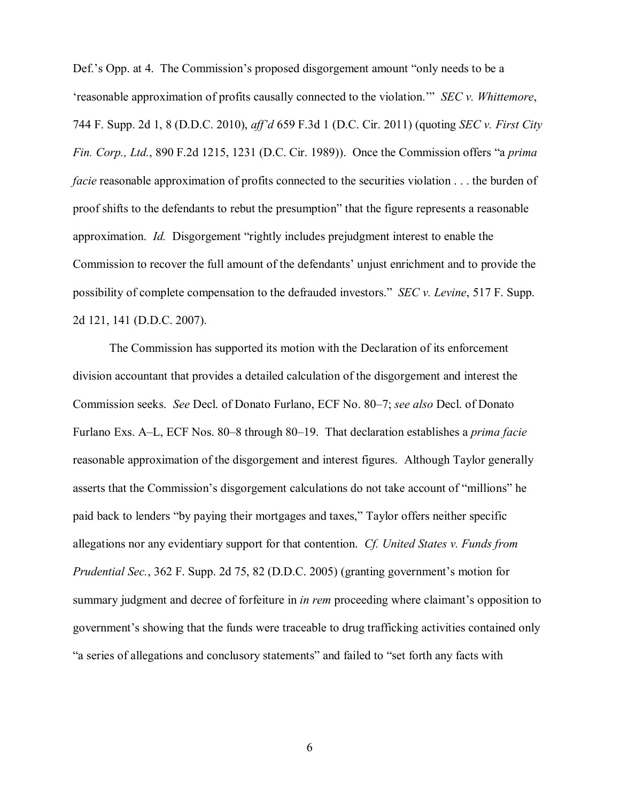Def.'s Opp. at 4. The Commission's proposed disgorgement amount "only needs to be a 'reasonable approximation of profits causally connected to the violation.'" *SEC v. Whittemore*, 744 F. Supp. 2d 1, 8 (D.D.C. 2010), *aff'd* 659 F.3d 1 (D.C. Cir. 2011) (quoting *SEC v. First City Fin. Corp., Ltd.*, 890 F.2d 1215, 1231 (D.C. Cir. 1989)). Once the Commission offers "a *prima facie* reasonable approximation of profits connected to the securities violation . . . the burden of proof shifts to the defendants to rebut the presumption" that the figure represents a reasonable approximation. *Id.* Disgorgement "rightly includes prejudgment interest to enable the Commission to recover the full amount of the defendants' unjust enrichment and to provide the possibility of complete compensation to the defrauded investors." *SEC v. Levine*, 517 F. Supp. 2d 121, 141 (D.D.C. 2007).

The Commission has supported its motion with the Declaration of its enforcement division accountant that provides a detailed calculation of the disgorgement and interest the Commission seeks. *See* Decl. of Donato Furlano, ECF No. 80–7; *see also* Decl. of Donato Furlano Exs. A–L, ECF Nos. 80–8 through 80–19. That declaration establishes a *prima facie* reasonable approximation of the disgorgement and interest figures. Although Taylor generally asserts that the Commission's disgorgement calculations do not take account of "millions" he paid back to lenders "by paying their mortgages and taxes," Taylor offers neither specific allegations nor any evidentiary support for that contention. *Cf. United States v. Funds from Prudential Sec.*, 362 F. Supp. 2d 75, 82 (D.D.C. 2005) (granting government's motion for summary judgment and decree of forfeiture in *in rem* proceeding where claimant's opposition to government's showing that the funds were traceable to drug trafficking activities contained only "a series of allegations and conclusory statements" and failed to "set forth any facts with

6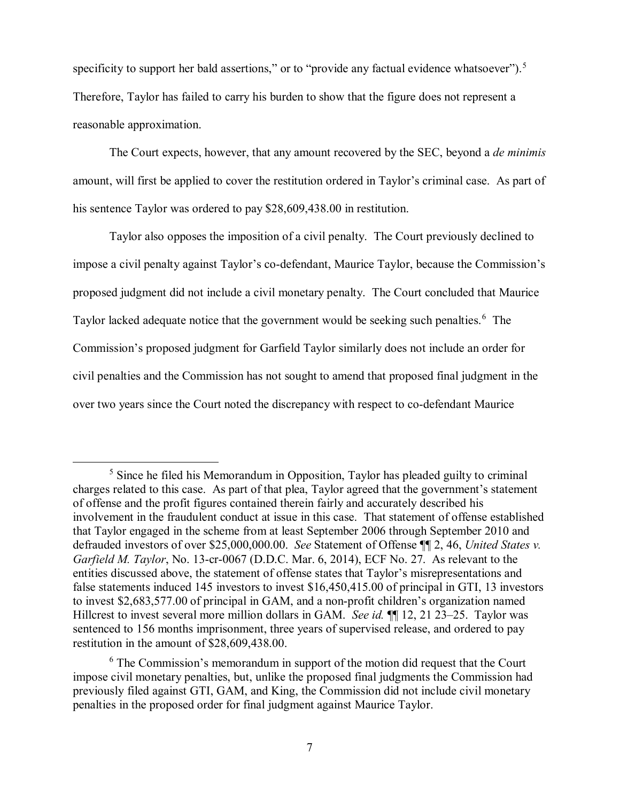specificity to support her bald assertions," or to "provide any factual evidence whatsoever").<sup>5</sup> Therefore, Taylor has failed to carry his burden to show that the figure does not represent a reasonable approximation.

The Court expects, however, that any amount recovered by the SEC, beyond a *de minimis*  amount, will first be applied to cover the restitution ordered in Taylor's criminal case. As part of his sentence Taylor was ordered to pay \$28,609,438.00 in restitution.

Taylor also opposes the imposition of a civil penalty. The Court previously declined to impose a civil penalty against Taylor's co-defendant, Maurice Taylor, because the Commission's proposed judgment did not include a civil monetary penalty. The Court concluded that Maurice Taylor lacked adequate notice that the government would be seeking such penalties.<sup>6</sup> The Commission's proposed judgment for Garfield Taylor similarly does not include an order for civil penalties and the Commission has not sought to amend that proposed final judgment in the over two years since the Court noted the discrepancy with respect to co-defendant Maurice

<sup>&</sup>lt;sup>5</sup> Since he filed his Memorandum in Opposition. Taylor has pleaded guilty to criminal charges related to this case. As part of that plea, Taylor agreed that the government's statement of offense and the profit figures contained therein fairly and accurately described his involvement in the fraudulent conduct at issue in this case. That statement of offense established that Taylor engaged in the scheme from at least September 2006 through September 2010 and defrauded investors of over \$25,000,000.00. *See* Statement of Offense ¶¶ 2, 46, *United States v. Garfield M. Taylor*, No. 13-cr-0067 (D.D.C. Mar. 6, 2014), ECF No. 27. As relevant to the entities discussed above, the statement of offense states that Taylor's misrepresentations and false statements induced 145 investors to invest \$16,450,415.00 of principal in GTI, 13 investors to invest \$2,683,577.00 of principal in GAM, and a non-profit children's organization named Hillcrest to invest several more million dollars in GAM. *See id.* ¶¶ 12, 21 23–25. Taylor was sentenced to 156 months imprisonment, three years of supervised release, and ordered to pay restitution in the amount of \$28,609,438.00.

<sup>&</sup>lt;sup>6</sup> The Commission's memorandum in support of the motion did request that the Court impose civil monetary penalties, but, unlike the proposed final judgments the Commission had previously filed against GTI, GAM, and King, the Commission did not include civil monetary penalties in the proposed order for final judgment against Maurice Taylor.